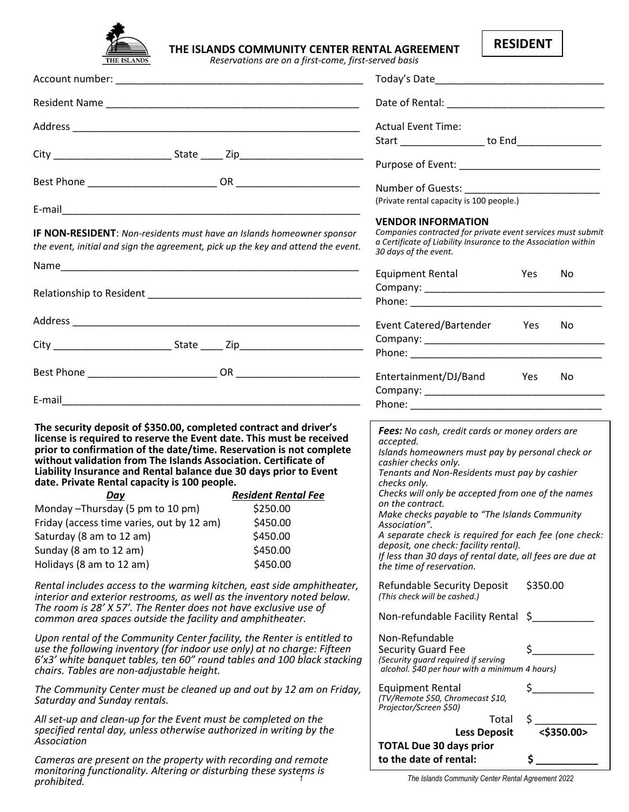

*prohibited.*

# **THE ISLANDS COMMUNITY CENTER RENTAL AGREEMENT**

*Reservations are on a first-come, first-served basis*

| <b>RESIDENT</b> |
|-----------------|
|-----------------|

|                                                                                                                                                                                                                                                                                                                                                                                                                                                                                                                                                                                                                                                               |                                                                                                                                      | <b>Actual Event Time:</b>                                                                                                                                                                                                                                                                                                                                                                                                                                                                                                                                                             |            |     |
|---------------------------------------------------------------------------------------------------------------------------------------------------------------------------------------------------------------------------------------------------------------------------------------------------------------------------------------------------------------------------------------------------------------------------------------------------------------------------------------------------------------------------------------------------------------------------------------------------------------------------------------------------------------|--------------------------------------------------------------------------------------------------------------------------------------|---------------------------------------------------------------------------------------------------------------------------------------------------------------------------------------------------------------------------------------------------------------------------------------------------------------------------------------------------------------------------------------------------------------------------------------------------------------------------------------------------------------------------------------------------------------------------------------|------------|-----|
|                                                                                                                                                                                                                                                                                                                                                                                                                                                                                                                                                                                                                                                               |                                                                                                                                      | Start __________________ to End__________________                                                                                                                                                                                                                                                                                                                                                                                                                                                                                                                                     |            |     |
|                                                                                                                                                                                                                                                                                                                                                                                                                                                                                                                                                                                                                                                               |                                                                                                                                      |                                                                                                                                                                                                                                                                                                                                                                                                                                                                                                                                                                                       |            |     |
|                                                                                                                                                                                                                                                                                                                                                                                                                                                                                                                                                                                                                                                               |                                                                                                                                      | Number of Guests: _________                                                                                                                                                                                                                                                                                                                                                                                                                                                                                                                                                           |            |     |
|                                                                                                                                                                                                                                                                                                                                                                                                                                                                                                                                                                                                                                                               |                                                                                                                                      | (Private rental capacity is 100 people.)                                                                                                                                                                                                                                                                                                                                                                                                                                                                                                                                              |            |     |
| IF NON-RESIDENT: Non-residents must have an Islands homeowner sponsor<br>the event, initial and sign the agreement, pick up the key and attend the event.                                                                                                                                                                                                                                                                                                                                                                                                                                                                                                     |                                                                                                                                      | <b>VENDOR INFORMATION</b><br>Companies contracted for private event services must submit<br>a Certificate of Liability Insurance to the Association within<br>30 days of the event.                                                                                                                                                                                                                                                                                                                                                                                                   |            |     |
|                                                                                                                                                                                                                                                                                                                                                                                                                                                                                                                                                                                                                                                               |                                                                                                                                      | <b>Equipment Rental</b>                                                                                                                                                                                                                                                                                                                                                                                                                                                                                                                                                               | Yes        | No. |
|                                                                                                                                                                                                                                                                                                                                                                                                                                                                                                                                                                                                                                                               |                                                                                                                                      |                                                                                                                                                                                                                                                                                                                                                                                                                                                                                                                                                                                       |            |     |
|                                                                                                                                                                                                                                                                                                                                                                                                                                                                                                                                                                                                                                                               |                                                                                                                                      |                                                                                                                                                                                                                                                                                                                                                                                                                                                                                                                                                                                       |            |     |
|                                                                                                                                                                                                                                                                                                                                                                                                                                                                                                                                                                                                                                                               |                                                                                                                                      | Event Catered/Bartender Yes                                                                                                                                                                                                                                                                                                                                                                                                                                                                                                                                                           |            | No. |
|                                                                                                                                                                                                                                                                                                                                                                                                                                                                                                                                                                                                                                                               |                                                                                                                                      |                                                                                                                                                                                                                                                                                                                                                                                                                                                                                                                                                                                       |            |     |
|                                                                                                                                                                                                                                                                                                                                                                                                                                                                                                                                                                                                                                                               |                                                                                                                                      |                                                                                                                                                                                                                                                                                                                                                                                                                                                                                                                                                                                       |            |     |
|                                                                                                                                                                                                                                                                                                                                                                                                                                                                                                                                                                                                                                                               |                                                                                                                                      | Entertainment/DJ/Band Yes                                                                                                                                                                                                                                                                                                                                                                                                                                                                                                                                                             |            | No. |
|                                                                                                                                                                                                                                                                                                                                                                                                                                                                                                                                                                                                                                                               |                                                                                                                                      |                                                                                                                                                                                                                                                                                                                                                                                                                                                                                                                                                                                       |            |     |
|                                                                                                                                                                                                                                                                                                                                                                                                                                                                                                                                                                                                                                                               |                                                                                                                                      |                                                                                                                                                                                                                                                                                                                                                                                                                                                                                                                                                                                       |            |     |
| The security deposit of \$350.00, completed contract and driver's<br>license is required to reserve the Event date. This must be received<br>prior to confirmation of the date/time. Reservation is not complete<br>without validation from The Islands Association. Certificate of<br>Liability Insurance and Rental balance due 30 days prior to Event<br>date. Private Rental capacity is 100 people.<br>Day<br>Monday - Thursday (5 pm to 10 pm)<br>Friday (access time varies, out by 12 am)<br>Saturday (8 am to 12 am)<br>Sunday (8 am to 12 am)<br>Holidays (8 am to 12 am)<br>Rental includes access to the warming kitchen, east side amphitheater, | <b>Resident Rental Fee</b><br>\$250.00<br>\$450.00<br>\$450.00<br>\$450.00<br>\$450.00                                               | Fees: No cash, credit cards or money orders are<br>accepted.<br>Islands homeowners must pay by personal check or<br>cashier checks only.<br>Tenants and Non-Residents must pay by cashier<br>checks only.<br>Checks will only be accepted from one of the names<br>on the contract.<br>Make checks payable to "The Islands Community<br>Association".<br>A separate check is required for each fee (one check:<br>deposit, one check: facility rental).<br>If less than 30 days of rental date, all fees are due at<br>the time of reservation.<br><b>Refundable Security Deposit</b> | \$350.00   |     |
| interior and exterior restrooms, as well as the inventory noted below.<br>The room is 28' X 57'. The Renter does not have exclusive use of<br>common area spaces outside the facility and amphitheater.                                                                                                                                                                                                                                                                                                                                                                                                                                                       |                                                                                                                                      | (This check will be cashed.)<br>Non-refundable Facility Rental \$                                                                                                                                                                                                                                                                                                                                                                                                                                                                                                                     |            |     |
| Upon rental of the Community Center facility, the Renter is entitled to<br>use the following inventory (for indoor use only) at no charge: Fifteen<br>6'x3' white banquet tables, ten 60" round tables and 100 black stacking<br>chairs. Tables are non-adjustable height.                                                                                                                                                                                                                                                                                                                                                                                    | Non-Refundable<br><b>Security Guard Fee</b><br>(Security guard required if serving<br>alcohol. \$40 per hour with a minimum 4 hours) |                                                                                                                                                                                                                                                                                                                                                                                                                                                                                                                                                                                       |            |     |
| The Community Center must be cleaned up and out by 12 am on Friday,<br>Saturday and Sunday rentals.                                                                                                                                                                                                                                                                                                                                                                                                                                                                                                                                                           |                                                                                                                                      | <b>Equipment Rental</b><br>(TV/Remote \$50, Chromecast \$10,<br>Projector/Screen \$50)                                                                                                                                                                                                                                                                                                                                                                                                                                                                                                |            |     |
| All set-up and clean-up for the Event must be completed on the<br>specified rental day, unless otherwise authorized in writing by the<br>Association                                                                                                                                                                                                                                                                                                                                                                                                                                                                                                          | Total<br><b>Less Deposit</b><br><b>TOTAL Due 30 days prior</b>                                                                       | \$                                                                                                                                                                                                                                                                                                                                                                                                                                                                                                                                                                                    | <\$350.00> |     |
| Cameras are present on the property with recording and remote<br>monitoring functionality. Altering or disturbing these systems is                                                                                                                                                                                                                                                                                                                                                                                                                                                                                                                            | to the date of rental:                                                                                                               |                                                                                                                                                                                                                                                                                                                                                                                                                                                                                                                                                                                       |            |     |

*1 The Islands Community Center Rental Agreement 2022*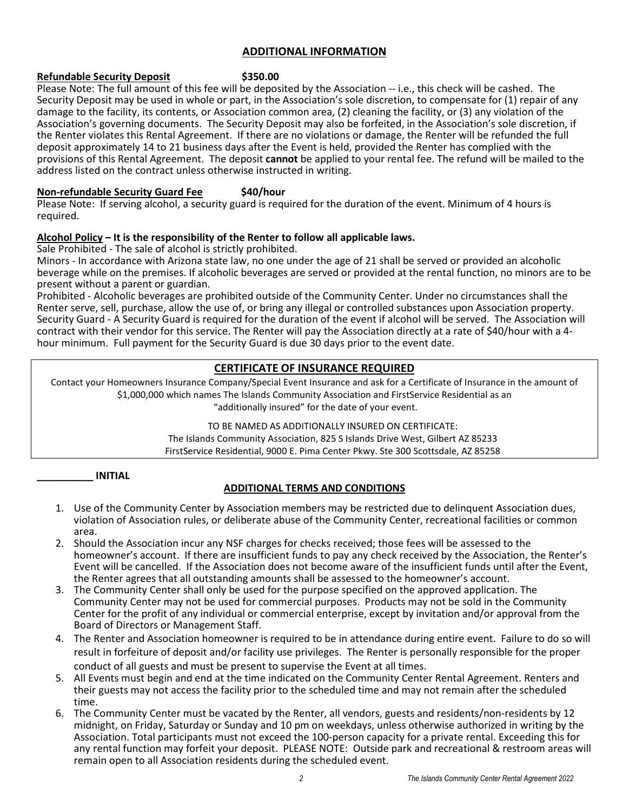# **ADDITIONAL INFORMATION**

# **Refundable Security Deposit** \$350.00

Please Note: The full amount of this fee will be deposited by the Association -- i.e., this check will be cashed. The Security Deposit may be used in whole or part, in the Association's sole discretion, to compensate for (1) repair of any damage to the facility, its contents, or Association common area, (2) cleaning the facility, or (3) any violation of the Association's governing documents. The Security Deposit may also be forfeited, in the Association's sole discretion, if the Renter violates this Rental Agreement. If there are no violations or damage, the Renter will be refunded the full deposit approximately 14 to 21 business days after the Event is held, provided the Renter has complied with the provisions of this Rental Agreement. The deposit **cannot** be applied to your rental fee. The refund will be mailed to the address listed on the contract unless otherwise instructed in writing.

# **Non-refundable Security Guard Fee \$40/hour**

Please Note: If serving alcohol, a security guard is required for the duration of the event. Minimum of 4 hours is required.

# **Alcohol Policy – It is the responsibility of the Renter to follow all applicable laws.**

Sale Prohibited - The sale of alcohol is strictly prohibited.

Minors - In accordance with Arizona state law, no one under the age of 21 shall be served or provided an alcoholic beverage while on the premises. If alcoholic beverages are served or provided at the rental function, no minors are to be present without a parent or guardian.

Prohibited - Alcoholic beverages are prohibited outside of the Community Center. Under no circumstances shall the Renter serve, sell, purchase, allow the use of, or bring any illegal or controlled substances upon Association property. Security Guard - A Security Guard is required for the duration of the event if alcohol will be served. The Association will contract with their vendor for this service. The Renter will pay the Association directly at a rate of \$40/hour with a 4 hour minimum. Full payment for the Security Guard is due 30 days prior to the event date.

# **CERTIFICATE OF INSURANCE REQUIRED**

Contact your Homeowners Insurance Company/Special Event Insurance and ask for a Certificate of Insurance in the amount of \$1,000,000 which names The Islands Community Association and FirstService Residential as an "additionally insured" for the date of your event.

TO BE NAMED AS ADDITIONALLY INSURED ON CERTIFICATE:

The Islands Community Association, 825 S Islands Drive West, Gilbert AZ 85233 FirstService Residential, 9000 E. Pima Center Pkwy. Ste 300 Scottsdale, AZ 85258

# **\_\_\_\_\_\_\_\_\_\_ INITIAL**

# **ADDITIONAL TERMS AND CONDITIONS**

- 1. Use of the Community Center by Association members may be restricted due to delinquent Association dues, violation of Association rules, or deliberate abuse of the Community Center, recreational facilities or common area.
- 2. Should the Association incur any NSF charges for checks received; those fees will be assessed to the homeowner's account. If there are insufficient funds to pay any check received by the Association, the Renter's Event will be cancelled. If the Association does not become aware of the insufficient funds until after the Event, the Renter agrees that all outstanding amounts shall be assessed to the homeowner's account.
- 3. The Community Center shall only be used for the purpose specified on the approved application. The Community Center may not be used for commercial purposes. Products may not be sold in the Community Center for the profit of any individual or commercial enterprise, except by invitation and/or approval from the Board of Directors or Management Staff.
- 4. The Renter and Association homeowner is required to be in attendance during entire event. Failure to do so will result in forfeiture of deposit and/or facility use privileges. The Renter is personally responsible for the proper conduct of all guests and must be present to supervise the Event at all times.
- 5. All Events must begin and end at the time indicated on the Community Center Rental Agreement. Renters and their guests may not access the facility prior to the scheduled time and may not remain after the scheduled time.
- 6. The Community Center must be vacated by the Renter, all vendors, guests and residents/non-residents by 12 midnight, on Friday, Saturday or Sunday and 10 pm on weekdays, unless otherwise authorized in writing by the Association. Total participants must not exceed the 100-person capacity for a private rental. Exceeding this for any rental function may forfeit your deposit. PLEASE NOTE: Outside park and recreational & restroom areas will remain open to all Association residents during the scheduled event.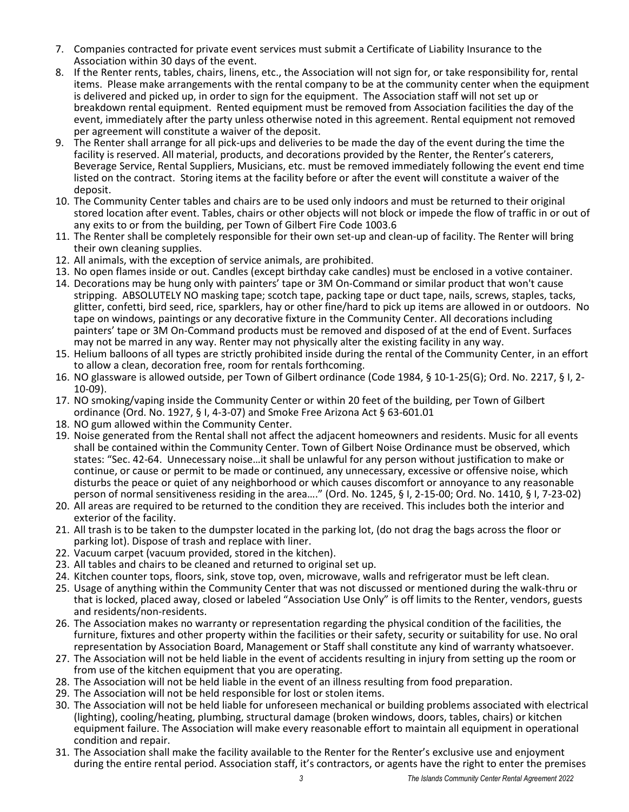- 7. Companies contracted for private event services must submit a Certificate of Liability Insurance to the Association within 30 days of the event.
- 8. If the Renter rents, tables, chairs, linens, etc., the Association will not sign for, or take responsibility for, rental items. Please make arrangements with the rental company to be at the community center when the equipment is delivered and picked up, in order to sign for the equipment. The Association staff will not set up or breakdown rental equipment. Rented equipment must be removed from Association facilities the day of the event, immediately after the party unless otherwise noted in this agreement. Rental equipment not removed per agreement will constitute a waiver of the deposit.
- 9. The Renter shall arrange for all pick-ups and deliveries to be made the day of the event during the time the facility is reserved. All material, products, and decorations provided by the Renter, the Renter's caterers, Beverage Service, Rental Suppliers, Musicians, etc. must be removed immediately following the event end time listed on the contract. Storing items at the facility before or after the event will constitute a waiver of the deposit.
- 10. The Community Center tables and chairs are to be used only indoors and must be returned to their original stored location after event. Tables, chairs or other objects will not block or impede the flow of traffic in or out of any exits to or from the building, per Town of Gilbert Fire Code 1003.6
- 11. The Renter shall be completely responsible for their own set-up and clean-up of facility. The Renter will bring their own cleaning supplies.
- 12. All animals, with the exception of service animals, are prohibited.
- 13. No open flames inside or out. Candles (except birthday cake candles) must be enclosed in a votive container.
- 14. Decorations may be hung only with painters' tape or 3M On-Command or similar product that won't cause stripping. ABSOLUTELY NO masking tape; scotch tape, packing tape or duct tape, nails, screws, staples, tacks, glitter, confetti, bird seed, rice, sparklers, hay or other fine/hard to pick up items are allowed in or outdoors. No tape on windows, paintings or any decorative fixture in the Community Center. All decorations including painters' tape or 3M On-Command products must be removed and disposed of at the end of Event. Surfaces may not be marred in any way. Renter may not physically alter the existing facility in any way.
- 15. Helium balloons of all types are strictly prohibited inside during the rental of the Community Center, in an effort to allow a clean, decoration free, room for rentals forthcoming.
- 16. NO glassware is allowed outside, per Town of Gilbert ordinance (Code 1984, § 10-1-25(G); Ord. No. 2217, § I, 2- 10-09).
- 17. NO smoking/vaping inside the Community Center or within 20 feet of the building, per Town of Gilbert ordinance (Ord. No. 1927, § I, 4-3-07) and Smoke Free Arizona Act § 63-601.01
- 18. NO gum allowed within the Community Center.
- 19. Noise generated from the Rental shall not affect the adjacent homeowners and residents. Music for all events shall be contained within the Community Center. Town of Gilbert Noise Ordinance must be observed, which states: "Sec. 42-64. Unnecessary noise…it shall be unlawful for any person without justification to make or continue, or cause or permit to be made or continued, any unnecessary, excessive or offensive noise, which disturbs the peace or quiet of any neighborhood or which causes discomfort or annoyance to any reasonable person of normal sensitiveness residing in the area…." (Ord. No. 1245, § I, 2-15-00; Ord. No. 1410, § I, 7-23-02)
- 20. All areas are required to be returned to the condition they are received. This includes both the interior and exterior of the facility.
- 21. All trash is to be taken to the dumpster located in the parking lot, (do not drag the bags across the floor or parking lot). Dispose of trash and replace with liner.
- 22. Vacuum carpet (vacuum provided, stored in the kitchen).
- 23. All tables and chairs to be cleaned and returned to original set up.
- 24. Kitchen counter tops, floors, sink, stove top, oven, microwave, walls and refrigerator must be left clean.
- 25. Usage of anything within the Community Center that was not discussed or mentioned during the walk-thru or that is locked, placed away, closed or labeled "Association Use Only" is off limits to the Renter, vendors, guests and residents/non-residents.
- 26. The Association makes no warranty or representation regarding the physical condition of the facilities, the furniture, fixtures and other property within the facilities or their safety, security or suitability for use. No oral representation by Association Board, Management or Staff shall constitute any kind of warranty whatsoever.
- 27. The Association will not be held liable in the event of accidents resulting in injury from setting up the room or from use of the kitchen equipment that you are operating.
- 28. The Association will not be held liable in the event of an illness resulting from food preparation.
- 29. The Association will not be held responsible for lost or stolen items.
- 30. The Association will not be held liable for unforeseen mechanical or building problems associated with electrical (lighting), cooling/heating, plumbing, structural damage (broken windows, doors, tables, chairs) or kitchen equipment failure. The Association will make every reasonable effort to maintain all equipment in operational condition and repair.
- 31. The Association shall make the facility available to the Renter for the Renter's exclusive use and enjoyment during the entire rental period. Association staff, it's contractors, or agents have the right to enter the premises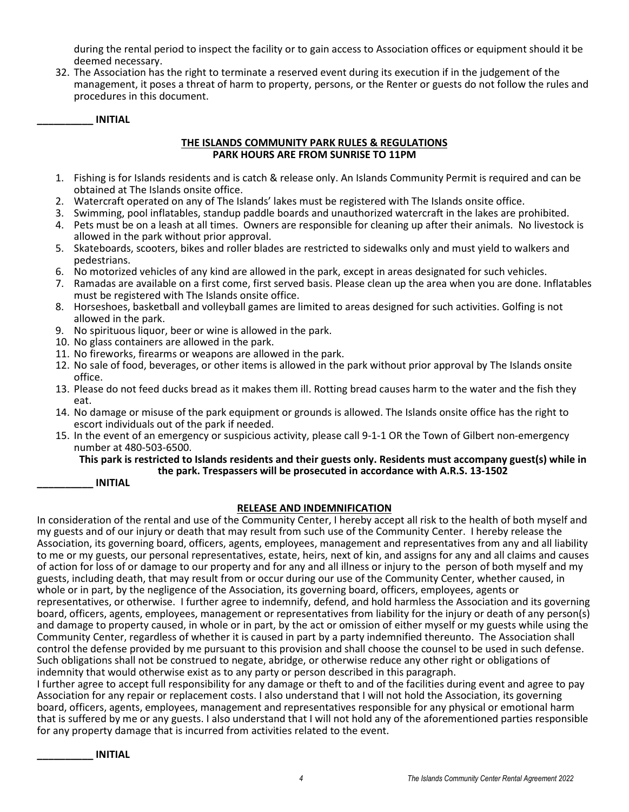during the rental period to inspect the facility or to gain access to Association offices or equipment should it be deemed necessary.

32. The Association has the right to terminate a reserved event during its execution if in the judgement of the management, it poses a threat of harm to property, persons, or the Renter or guests do not follow the rules and procedures in this document.

**\_\_\_\_\_\_\_\_\_\_ INITIAL** 

#### **THE ISLANDS COMMUNITY PARK RULES & REGULATIONS PARK HOURS ARE FROM SUNRISE TO 11PM**

- 1. Fishing is for Islands residents and is catch & release only. An Islands Community Permit is required and can be obtained at The Islands onsite office.
- 2. Watercraft operated on any of The Islands' lakes must be registered with The Islands onsite office.
- 3. Swimming, pool inflatables, standup paddle boards and unauthorized watercraft in the lakes are prohibited.
- 4. Pets must be on a leash at all times. Owners are responsible for cleaning up after their animals. No livestock is allowed in the park without prior approval.
- 5. Skateboards, scooters, bikes and roller blades are restricted to sidewalks only and must yield to walkers and pedestrians.
- 6. No motorized vehicles of any kind are allowed in the park, except in areas designated for such vehicles.
- 7. Ramadas are available on a first come, first served basis. Please clean up the area when you are done. Inflatables must be registered with The Islands onsite office.
- 8. Horseshoes, basketball and volleyball games are limited to areas designed for such activities. Golfing is not allowed in the park.
- 9. No spirituous liquor, beer or wine is allowed in the park.
- 10. No glass containers are allowed in the park.
- 11. No fireworks, firearms or weapons are allowed in the park.
- 12. No sale of food, beverages, or other items is allowed in the park without prior approval by The Islands onsite office.
- 13. Please do not feed ducks bread as it makes them ill. Rotting bread causes harm to the water and the fish they eat.
- 14. No damage or misuse of the park equipment or grounds is allowed. The Islands onsite office has the right to escort individuals out of the park if needed.
- 15. In the event of an emergency or suspicious activity, please call 9-1-1 OR the Town of Gilbert non-emergency number at 480-503-6500.

#### **This park is restricted to Islands residents and their guests only. Residents must accompany guest(s) while in the park. Trespassers will be prosecuted in accordance with A.R.S. 13-1502**

**\_\_\_\_\_\_\_\_\_\_ INITIAL** 

# **RELEASE AND INDEMNIFICATION**

In consideration of the rental and use of the Community Center, I hereby accept all risk to the health of both myself and my guests and of our injury or death that may result from such use of the Community Center. I hereby release the Association, its governing board, officers, agents, employees, management and representatives from any and all liability to me or my guests, our personal representatives, estate, heirs, next of kin, and assigns for any and all claims and causes of action for loss of or damage to our property and for any and all illness or injury to the person of both myself and my guests, including death, that may result from or occur during our use of the Community Center, whether caused, in whole or in part, by the negligence of the Association, its governing board, officers, employees, agents or representatives, or otherwise. I further agree to indemnify, defend, and hold harmless the Association and its governing board, officers, agents, employees, management or representatives from liability for the injury or death of any person(s) and damage to property caused, in whole or in part, by the act or omission of either myself or my guests while using the Community Center, regardless of whether it is caused in part by a party indemnified thereunto. The Association shall control the defense provided by me pursuant to this provision and shall choose the counsel to be used in such defense. Such obligations shall not be construed to negate, abridge, or otherwise reduce any other right or obligations of indemnity that would otherwise exist as to any party or person described in this paragraph.

I further agree to accept full responsibility for any damage or theft to and of the facilities during event and agree to pay Association for any repair or replacement costs. I also understand that I will not hold the Association, its governing board, officers, agents, employees, management and representatives responsible for any physical or emotional harm that is suffered by me or any guests. I also understand that I will not hold any of the aforementioned parties responsible for any property damage that is incurred from activities related to the event.

**\_\_\_\_\_\_\_\_\_\_ INITIAL**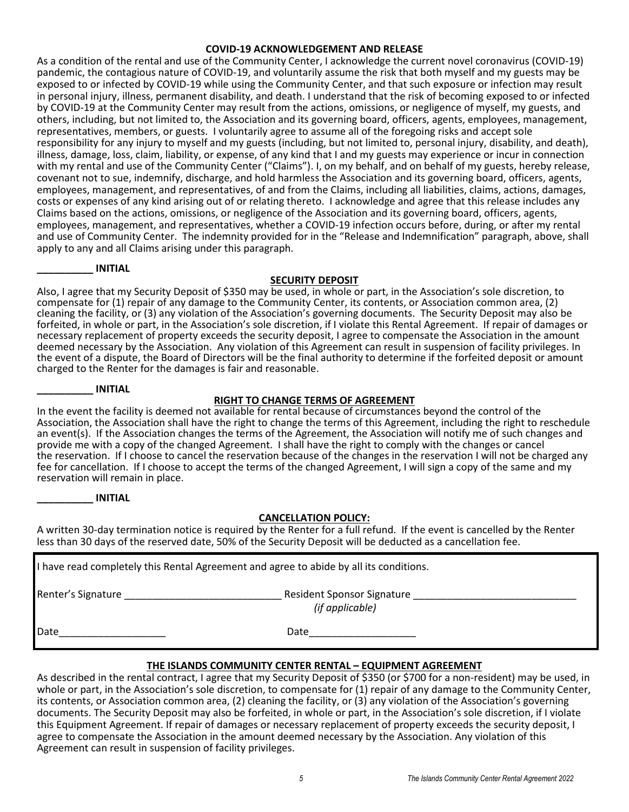# **COVID-19 ACKNOWLEDGEMENT AND RELEASE**

As a condition of the rental and use of the Community Center, I acknowledge the current novel coronavirus (COVID-19) pandemic, the contagious nature of COVID-19, and voluntarily assume the risk that both myself and my guests may be exposed to or infected by COVID-19 while using the Community Center, and that such exposure or infection may result in personal injury, illness, permanent disability, and death. I understand that the risk of becoming exposed to or infected by COVID-19 at the Community Center may result from the actions, omissions, or negligence of myself, my guests, and others, including, but not limited to, the Association and its governing board, officers, agents, employees, management, representatives, members, or guests. I voluntarily agree to assume all of the foregoing risks and accept sole responsibility for any injury to myself and my guests (including, but not limited to, personal injury, disability, and death), illness, damage, loss, claim, liability, or expense, of any kind that I and my guests may experience or incur in connection with my rental and use of the Community Center ("Claims"). I, on my behalf, and on behalf of my guests, hereby release, covenant not to sue, indemnify, discharge, and hold harmless the Association and its governing board, officers, agents, employees, management, and representatives, of and from the Claims, including all liabilities, claims, actions, damages, costs or expenses of any kind arising out of or relating thereto. I acknowledge and agree that this release includes any Claims based on the actions, omissions, or negligence of the Association and its governing board, officers, agents, employees, management, and representatives, whether a COVID-19 infection occurs before, during, or after my rental and use of Community Center. The indemnity provided for in the "Release and Indemnification" paragraph, above, shall apply to any and all Claims arising under this paragraph.

#### **\_\_\_\_\_\_\_\_\_\_ INITIAL**

#### **SECURITY DEPOSIT**

Also, I agree that my Security Deposit of \$350 may be used, in whole or part, in the Association's sole discretion, to compensate for (1) repair of any damage to the Community Center, its contents, or Association common area, (2) cleaning the facility, or (3) any violation of the Association's governing documents. The Security Deposit may also be forfeited, in whole or part, in the Association's sole discretion, if I violate this Rental Agreement. If repair of damages or necessary replacement of property exceeds the security deposit, I agree to compensate the Association in the amount deemed necessary by the Association. Any violation of this Agreement can result in suspension of facility privileges. In the event of a dispute, the Board of Directors will be the final authority to determine if the forfeited deposit or amount charged to the Renter for the damages is fair and reasonable.

#### **\_\_\_\_\_\_\_\_\_\_ INITIAL**

# **RIGHT TO CHANGE TERMS OF AGREEMENT**

In the event the facility is deemed not available for rental because of circumstances beyond the control of the Association, the Association shall have the right to change the terms of this Agreement, including the right to reschedule an event(s). If the Association changes the terms of the Agreement, the Association will notify me of such changes and provide me with a copy of the changed Agreement. I shall have the right to comply with the changes or cancel the reservation. If I choose to cancel the reservation because of the changes in the reservation I will not be charged any fee for cancellation. If I choose to accept the terms of the changed Agreement, I will sign a copy of the same and my reservation will remain in place.

|  |  | <b>INITIAL</b> |
|--|--|----------------|
|  |  |                |

# **CANCELLATION POLICY:**

A written 30-day termination notice is required by the Renter for a full refund. If the event is cancelled by the Renter less than 30 days of the reserved date, 50% of the Security Deposit will be deducted as a cancellation fee.

| I have read completely this Rental Agreement and agree to abide by all its conditions.                        |                                                                 |  |  |  |  |
|---------------------------------------------------------------------------------------------------------------|-----------------------------------------------------------------|--|--|--|--|
| Renter's Signature entry and the set of the set of the set of the set of the set of the set of the set of the | Resident Sponsor Signature _________________<br>(if applicable) |  |  |  |  |
| Date                                                                                                          | Date                                                            |  |  |  |  |

# **THE ISLANDS COMMUNITY CENTER RENTAL – EQUIPMENT AGREEMENT**

As described in the rental contract, I agree that my Security Deposit of \$350 (or \$700 for a non-resident) may be used, in whole or part, in the Association's sole discretion, to compensate for (1) repair of any damage to the Community Center, its contents, or Association common area, (2) cleaning the facility, or (3) any violation of the Association's governing documents. The Security Deposit may also be forfeited, in whole or part, in the Association's sole discretion, if I violate this Equipment Agreement. If repair of damages or necessary replacement of property exceeds the security deposit, I agree to compensate the Association in the amount deemed necessary by the Association. Any violation of this Agreement can result in suspension of facility privileges.